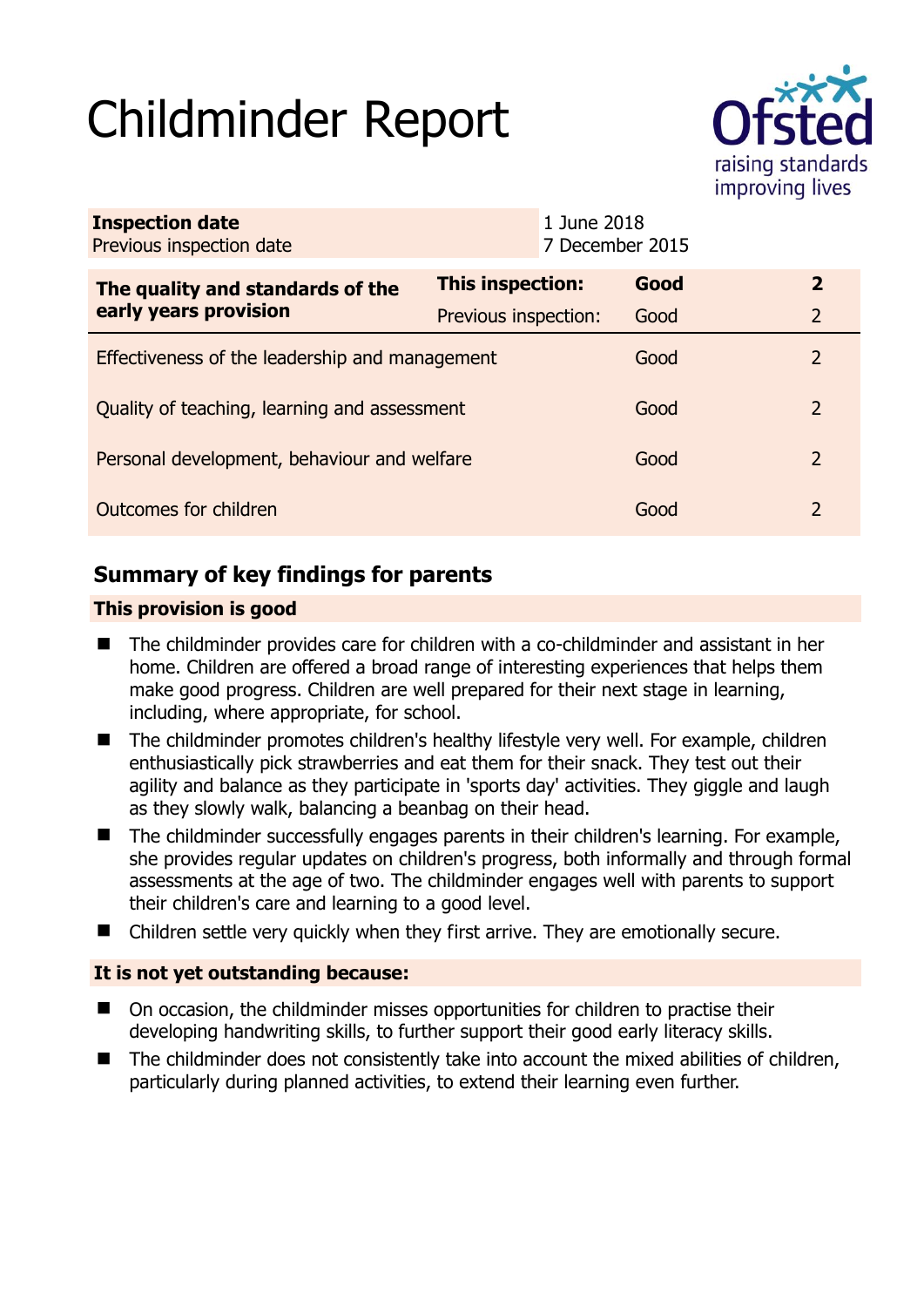# Childminder Report



| <b>Inspection date</b><br>Previous inspection date |                      | 1 June 2018<br>7 December 2015 |      |               |
|----------------------------------------------------|----------------------|--------------------------------|------|---------------|
| The quality and standards of the                   | This inspection:     |                                | Good | $\mathbf{2}$  |
| early years provision                              | Previous inspection: |                                | Good | 2             |
| Effectiveness of the leadership and management     |                      |                                | Good | 2             |
| Quality of teaching, learning and assessment       |                      |                                | Good | $\mathcal{P}$ |
| Personal development, behaviour and welfare        |                      |                                | Good | 2             |
| Outcomes for children                              |                      |                                | Good | 2             |

# **Summary of key findings for parents**

### **This provision is good**

- The childminder provides care for children with a co-childminder and assistant in her home. Children are offered a broad range of interesting experiences that helps them make good progress. Children are well prepared for their next stage in learning, including, where appropriate, for school.
- The childminder promotes children's healthy lifestyle very well. For example, children enthusiastically pick strawberries and eat them for their snack. They test out their agility and balance as they participate in 'sports day' activities. They giggle and laugh as they slowly walk, balancing a beanbag on their head.
- The childminder successfully engages parents in their children's learning. For example, she provides regular updates on children's progress, both informally and through formal assessments at the age of two. The childminder engages well with parents to support their children's care and learning to a good level.
- Children settle very quickly when they first arrive. They are emotionally secure.

## **It is not yet outstanding because:**

- On occasion, the childminder misses opportunities for children to practise their developing handwriting skills, to further support their good early literacy skills.
- The childminder does not consistently take into account the mixed abilities of children, particularly during planned activities, to extend their learning even further.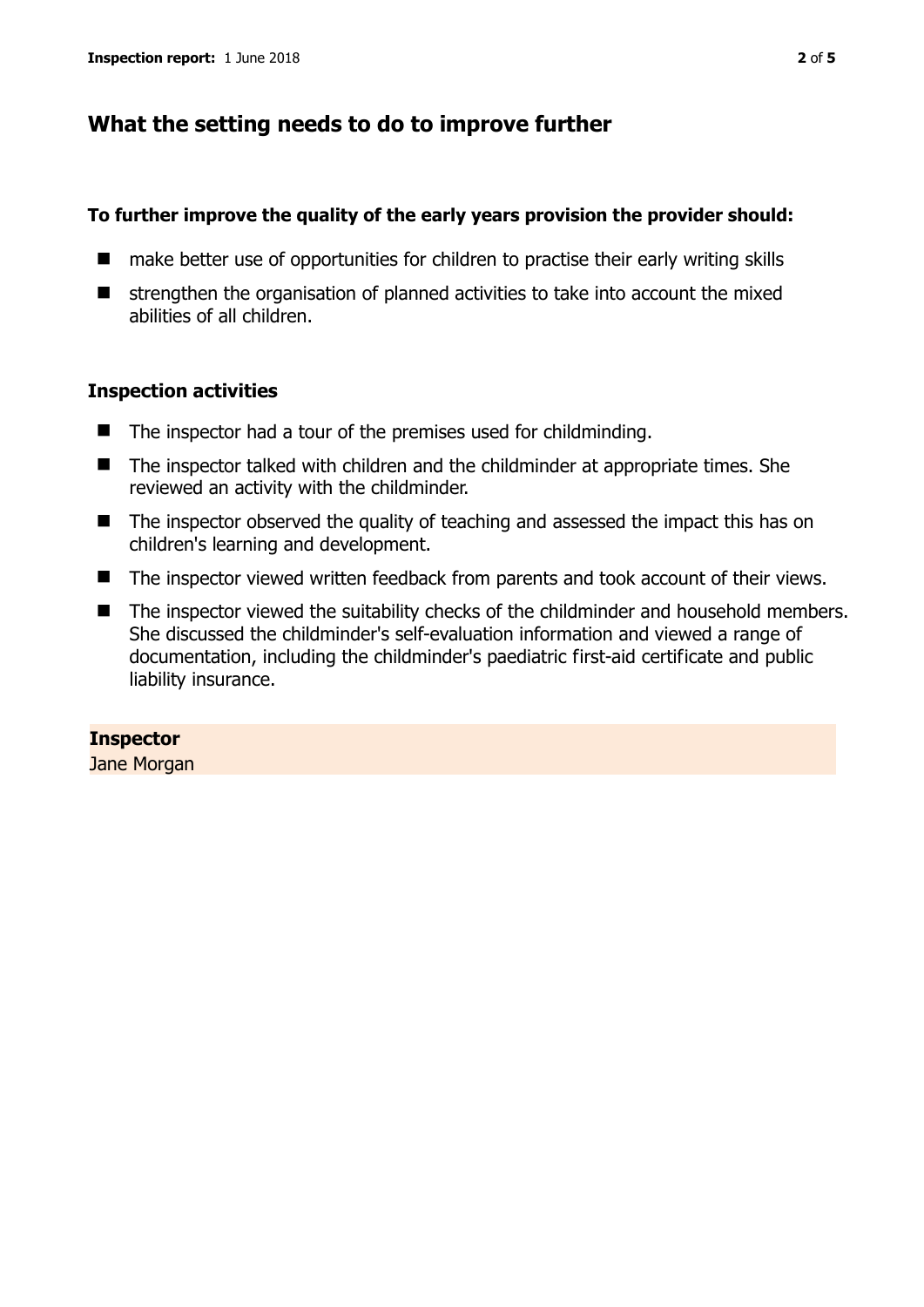## **What the setting needs to do to improve further**

#### **To further improve the quality of the early years provision the provider should:**

- make better use of opportunities for children to practise their early writing skills
- $\blacksquare$  strengthen the organisation of planned activities to take into account the mixed abilities of all children.

#### **Inspection activities**

- The inspector had a tour of the premises used for childminding.
- The inspector talked with children and the childminder at appropriate times. She reviewed an activity with the childminder.
- The inspector observed the quality of teaching and assessed the impact this has on children's learning and development.
- The inspector viewed written feedback from parents and took account of their views.
- The inspector viewed the suitability checks of the childminder and household members. She discussed the childminder's self-evaluation information and viewed a range of documentation, including the childminder's paediatric first-aid certificate and public liability insurance.

#### **Inspector**

Jane Morgan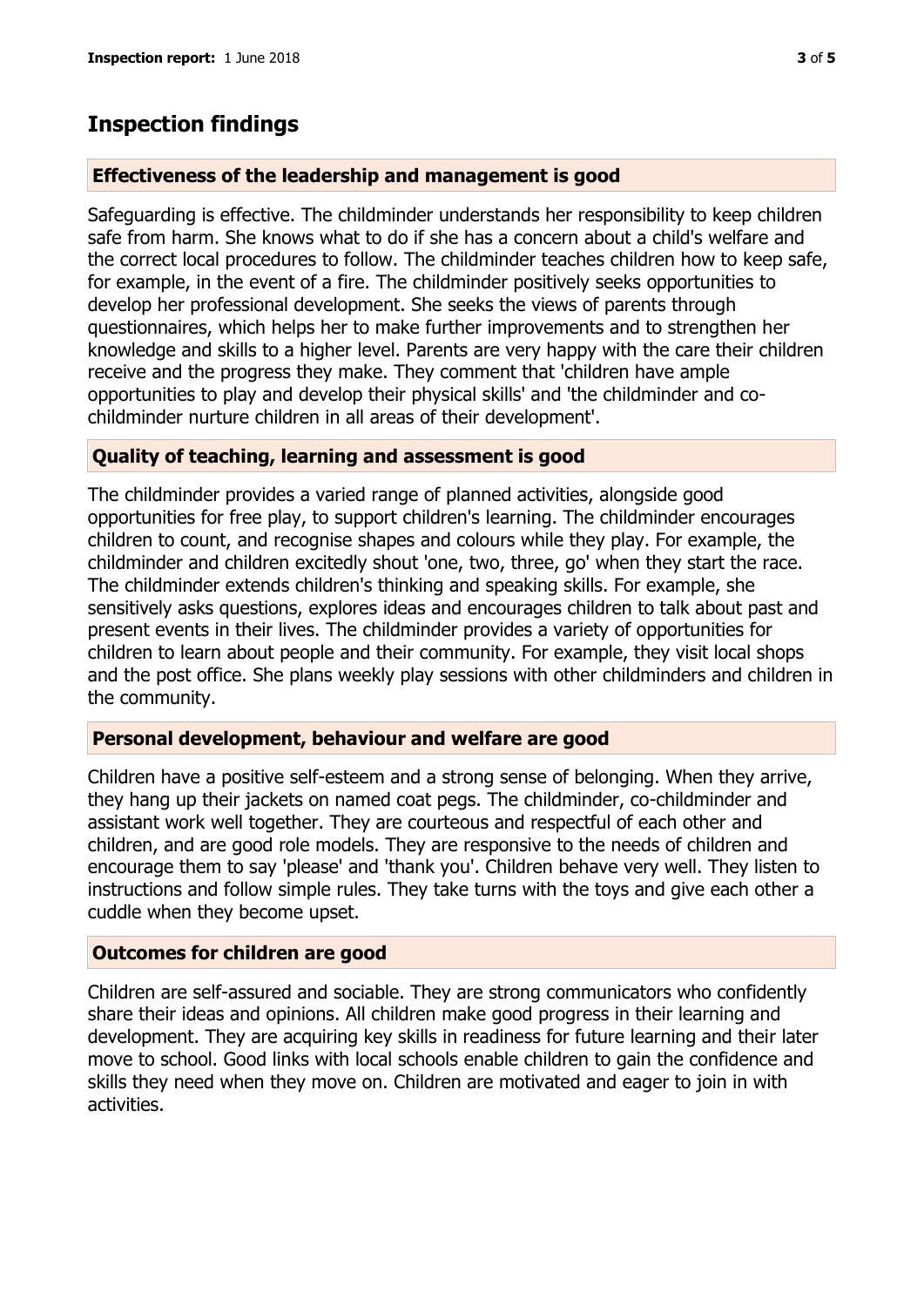# **Inspection findings**

#### **Effectiveness of the leadership and management is good**

Safeguarding is effective. The childminder understands her responsibility to keep children safe from harm. She knows what to do if she has a concern about a child's welfare and the correct local procedures to follow. The childminder teaches children how to keep safe, for example, in the event of a fire. The childminder positively seeks opportunities to develop her professional development. She seeks the views of parents through questionnaires, which helps her to make further improvements and to strengthen her knowledge and skills to a higher level. Parents are very happy with the care their children receive and the progress they make. They comment that 'children have ample opportunities to play and develop their physical skills' and 'the childminder and cochildminder nurture children in all areas of their development'.

#### **Quality of teaching, learning and assessment is good**

The childminder provides a varied range of planned activities, alongside good opportunities for free play, to support children's learning. The childminder encourages children to count, and recognise shapes and colours while they play. For example, the childminder and children excitedly shout 'one, two, three, go' when they start the race. The childminder extends children's thinking and speaking skills. For example, she sensitively asks questions, explores ideas and encourages children to talk about past and present events in their lives. The childminder provides a variety of opportunities for children to learn about people and their community. For example, they visit local shops and the post office. She plans weekly play sessions with other childminders and children in the community.

#### **Personal development, behaviour and welfare are good**

Children have a positive self-esteem and a strong sense of belonging. When they arrive, they hang up their jackets on named coat pegs. The childminder, co-childminder and assistant work well together. They are courteous and respectful of each other and children, and are good role models. They are responsive to the needs of children and encourage them to say 'please' and 'thank you'. Children behave very well. They listen to instructions and follow simple rules. They take turns with the toys and give each other a cuddle when they become upset.

#### **Outcomes for children are good**

Children are self-assured and sociable. They are strong communicators who confidently share their ideas and opinions. All children make good progress in their learning and development. They are acquiring key skills in readiness for future learning and their later move to school. Good links with local schools enable children to gain the confidence and skills they need when they move on. Children are motivated and eager to join in with activities.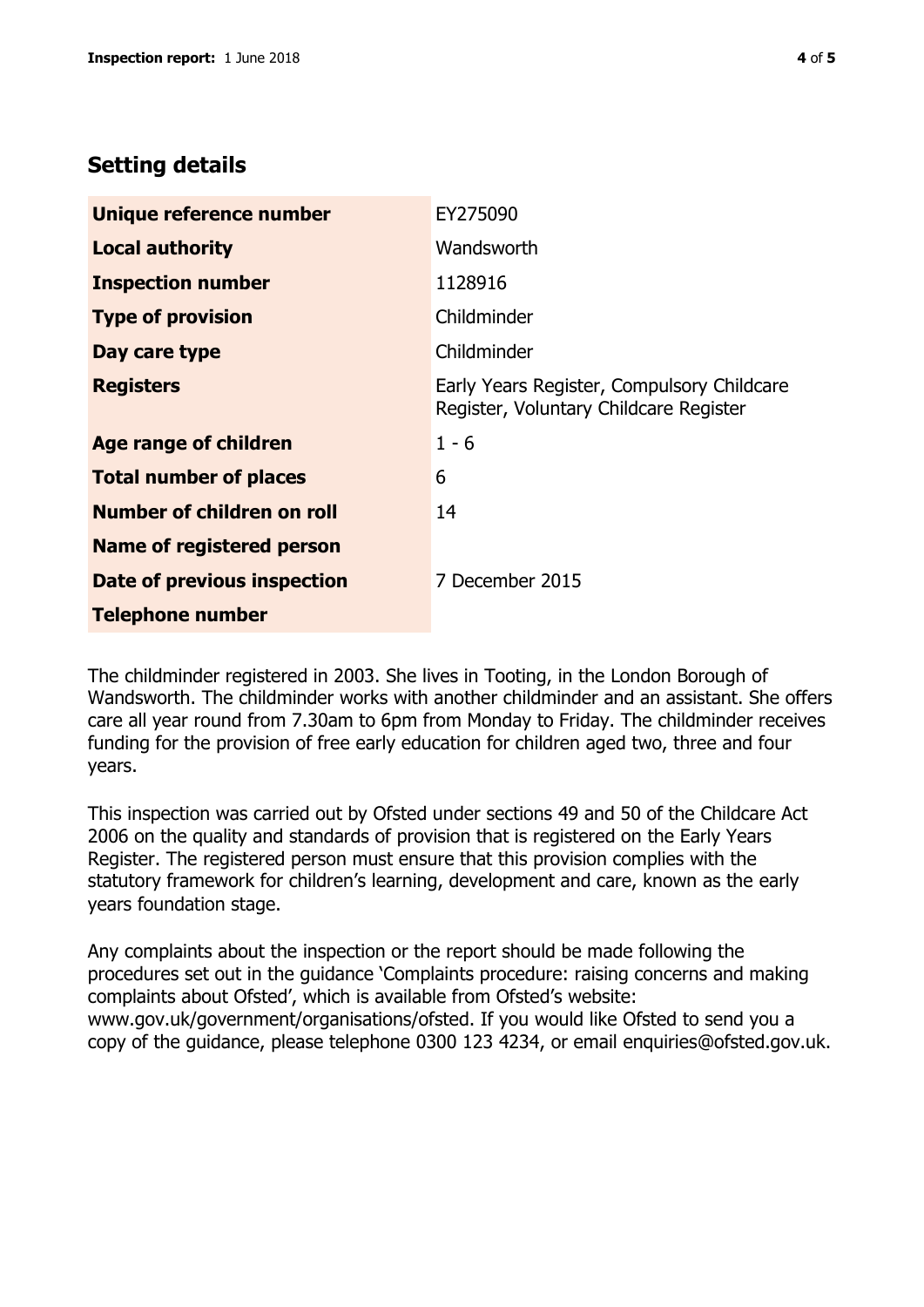# **Setting details**

| Unique reference number           | EY275090                                                                             |  |
|-----------------------------------|--------------------------------------------------------------------------------------|--|
| <b>Local authority</b>            | Wandsworth                                                                           |  |
| <b>Inspection number</b>          | 1128916                                                                              |  |
| <b>Type of provision</b>          | Childminder                                                                          |  |
| Day care type                     | Childminder                                                                          |  |
| <b>Registers</b>                  | Early Years Register, Compulsory Childcare<br>Register, Voluntary Childcare Register |  |
| <b>Age range of children</b>      | $1 - 6$                                                                              |  |
| <b>Total number of places</b>     | 6                                                                                    |  |
| <b>Number of children on roll</b> | 14                                                                                   |  |
| Name of registered person         |                                                                                      |  |
| Date of previous inspection       | 7 December 2015                                                                      |  |
| <b>Telephone number</b>           |                                                                                      |  |

The childminder registered in 2003. She lives in Tooting, in the London Borough of Wandsworth. The childminder works with another childminder and an assistant. She offers care all year round from 7.30am to 6pm from Monday to Friday. The childminder receives funding for the provision of free early education for children aged two, three and four years.

This inspection was carried out by Ofsted under sections 49 and 50 of the Childcare Act 2006 on the quality and standards of provision that is registered on the Early Years Register. The registered person must ensure that this provision complies with the statutory framework for children's learning, development and care, known as the early years foundation stage.

Any complaints about the inspection or the report should be made following the procedures set out in the guidance 'Complaints procedure: raising concerns and making complaints about Ofsted', which is available from Ofsted's website: www.gov.uk/government/organisations/ofsted. If you would like Ofsted to send you a copy of the guidance, please telephone 0300 123 4234, or email enquiries@ofsted.gov.uk.